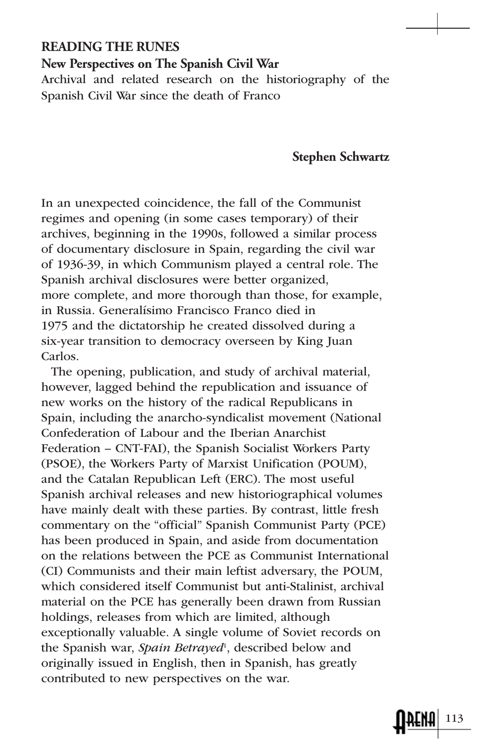# **READING THE RUNES**

**New Perspectives on The Spanish Civil War**

Archival and related research on the historiography of the Spanish Civil War since the death of Franco

## **Stephen Schwartz**

In an unexpected coincidence, the fall of the Communist regimes and opening (in some cases temporary) of their archives, beginning in the 1990s, followed a similar process of documentary disclosure in Spain, regarding the civil war of 1936-39, in which Communism played a central role. The Spanish archival disclosures were better organized, more complete, and more thorough than those, for example, in Russia. Generalísimo Francisco Franco died in 1975 and the dictatorship he created dissolved during a six-year transition to democracy overseen by King Juan Carlos.

The opening, publication, and study of archival material, however, lagged behind the republication and issuance of new works on the history of the radical Republicans in Spain, including the anarcho-syndicalist movement (National Confederation of Labour and the Iberian Anarchist Federation – CNT-FAI), the Spanish Socialist Workers Party (PSOE), the Workers Party of Marxist Unification (POUM), and the Catalan Republican Left (ERC). The most useful Spanish archival releases and new historiographical volumes have mainly dealt with these parties. By contrast, little fresh commentary on the "official" Spanish Communist Party (PCE) has been produced in Spain, and aside from documentation on the relations between the PCE as Communist International (CI) Communists and their main leftist adversary, the POUM, which considered itself Communist but anti-Stalinist, archival material on the PCE has generally been drawn from Russian holdings, releases from which are limited, although exceptionally valuable. A single volume of Soviet records on the Spanish war, Spain Betrayed<sup>1</sup>, described below and originally issued in English, then in Spanish, has greatly contributed to new perspectives on the war.

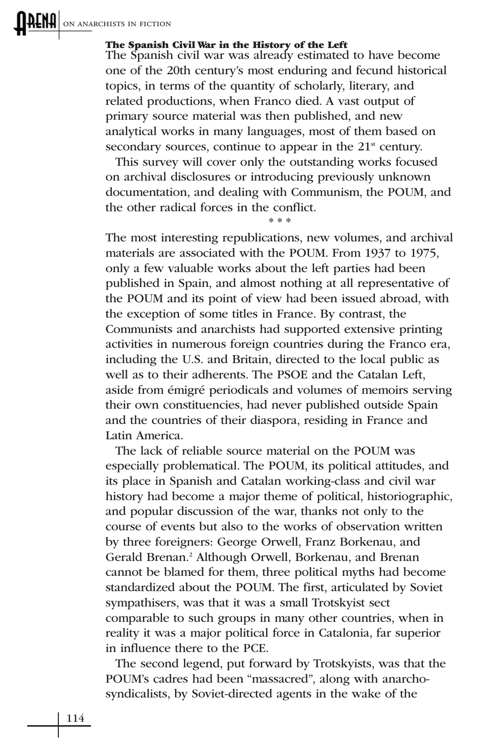### **The Spanish Civil War in the History of the Left**

The Spanish civil war was already estimated to have become one of the 20th century's most enduring and fecund historical topics, in terms of the quantity of scholarly, literary, and related productions, when Franco died. A vast output of primary source material was then published, and new analytical works in many languages, most of them based on secondary sources, continue to appear in the  $21<sup>st</sup>$  century.

This survey will cover only the outstanding works focused on archival disclosures or introducing previously unknown documentation, and dealing with Communism, the POUM, and the other radical forces in the conflict.

\*\*\* The most interesting republications, new volumes, and archival materials are associated with the POUM. From 1937 to 1975, only a few valuable works about the left parties had been published in Spain, and almost nothing at all representative of the POUM and its point of view had been issued abroad, with the exception of some titles in France. By contrast, the Communists and anarchists had supported extensive printing activities in numerous foreign countries during the Franco era, including the U.S. and Britain, directed to the local public as well as to their adherents. The PSOE and the Catalan Left, aside from émigré periodicals and volumes of memoirs serving their own constituencies, had never published outside Spain and the countries of their diaspora, residing in France and Latin America.

The lack of reliable source material on the POUM was especially problematical. The POUM, its political attitudes, and its place in Spanish and Catalan working-class and civil war history had become a major theme of political, historiographic, and popular discussion of the war, thanks not only to the course of events but also to the works of observation written by three foreigners: George Orwell, Franz Borkenau, and Gerald Brenan.<sup>2</sup> Although Orwell, Borkenau, and Brenan cannot be blamed for them, three political myths had become standardized about the POUM. The first, articulated by Soviet sympathisers, was that it was a small Trotskyist sect comparable to such groups in many other countries, when in reality it was a major political force in Catalonia, far superior in influence there to the PCE.

The second legend, put forward by Trotskyists, was that the POUM's cadres had been "massacred", along with anarchosyndicalists, by Soviet-directed agents in the wake of the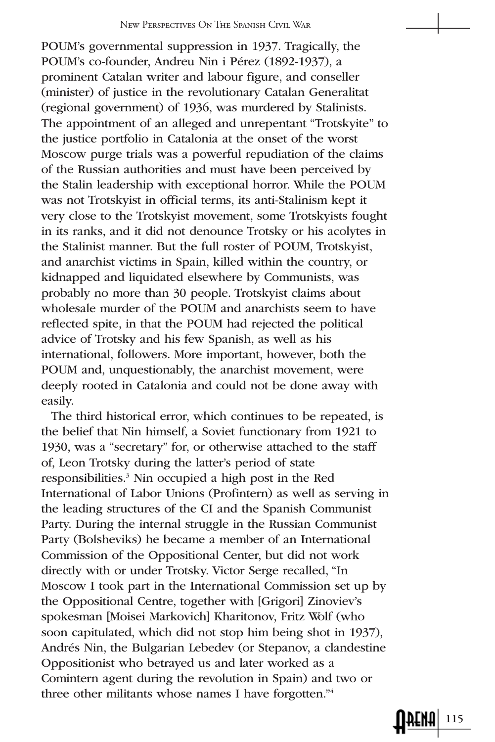#### New Perspectives On The Spanish Civil War

POUM's governmental suppression in 1937. Tragically, the POUM's co-founder, Andreu Nin i Pérez (1892-1937), a prominent Catalan writer and labour figure, and conseller (minister) of justice in the revolutionary Catalan Generalitat (regional government) of 1936, was murdered by Stalinists. The appointment of an alleged and unrepentant "Trotskyite" to the justice portfolio in Catalonia at the onset of the worst Moscow purge trials was a powerful repudiation of the claims of the Russian authorities and must have been perceived by the Stalin leadership with exceptional horror. While the POUM was not Trotskyist in official terms, its anti-Stalinism kept it very close to the Trotskyist movement, some Trotskyists fought in its ranks, and it did not denounce Trotsky or his acolytes in the Stalinist manner. But the full roster of POUM, Trotskyist, and anarchist victims in Spain, killed within the country, or kidnapped and liquidated elsewhere by Communists, was probably no more than 30 people. Trotskyist claims about wholesale murder of the POUM and anarchists seem to have reflected spite, in that the POUM had rejected the political advice of Trotsky and his few Spanish, as well as his international, followers. More important, however, both the POUM and, unquestionably, the anarchist movement, were deeply rooted in Catalonia and could not be done away with easily.

The third historical error, which continues to be repeated, is the belief that Nin himself, a Soviet functionary from 1921 to 1930, was a "secretary" for, or otherwise attached to the staff of, Leon Trotsky during the latter's period of state responsibilities.3 Nin occupied a high post in the Red International of Labor Unions (Profintern) as well as serving in the leading structures of the CI and the Spanish Communist Party. During the internal struggle in the Russian Communist Party (Bolsheviks) he became a member of an International Commission of the Oppositional Center, but did not work directly with or under Trotsky. Victor Serge recalled, "In Moscow I took part in the International Commission set up by the Oppositional Centre, together with [Grigori] Zinoviev's spokesman [Moisei Markovich] Kharitonov, Fritz Wolf (who soon capitulated, which did not stop him being shot in 1937), Andrés Nin, the Bulgarian Lebedev (or Stepanov, a clandestine Oppositionist who betrayed us and later worked as a Comintern agent during the revolution in Spain) and two or three other militants whose names I have forgotten."4

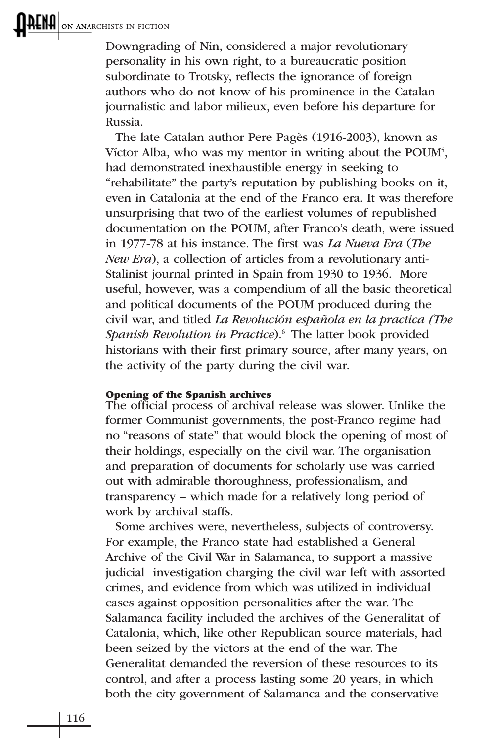Downgrading of Nin, considered a major revolutionary personality in his own right, to a bureaucratic position subordinate to Trotsky, reflects the ignorance of foreign authors who do not know of his prominence in the Catalan journalistic and labor milieux, even before his departure for Russia.

The late Catalan author Pere Pagès (1916-2003), known as Víctor Alba, who was my mentor in writing about the POUM<sup>5</sup>, had demonstrated inexhaustible energy in seeking to "rehabilitate" the party's reputation by publishing books on it, even in Catalonia at the end of the Franco era. It was therefore unsurprising that two of the earliest volumes of republished documentation on the POUM, after Franco's death, were issued in 1977-78 at his instance. The first was La Nueva Era (The New Era), a collection of articles from a revolutionary anti-Stalinist journal printed in Spain from 1930 to 1936. More useful, however, was a compendium of all the basic theoretical and political documents of the POUM produced during the civil war, and titled La Revolución española en la practica (The Spanish Revolution in Practice).<sup>6</sup> The latter book provided historians with their first primary source, after many years, on the activity of the party during the civil war.

#### **Opening of the Spanish archives**

The official process of archival release was slower. Unlike the former Communist governments, the post-Franco regime had no "reasons of state" that would block the opening of most of their holdings, especially on the civil war. The organisation and preparation of documents for scholarly use was carried out with admirable thoroughness, professionalism, and transparency – which made for a relatively long period of work by archival staffs.

Some archives were, nevertheless, subjects of controversy. For example, the Franco state had established a General Archive of the Civil War in Salamanca, to support a massive judicial investigation charging the civil war left with assorted crimes, and evidence from which was utilized in individual cases against opposition personalities after the war. The Salamanca facility included the archives of the Generalitat of Catalonia, which, like other Republican source materials, had been seized by the victors at the end of the war. The Generalitat demanded the reversion of these resources to its control, and after a process lasting some 20 years, in which both the city government of Salamanca and the conservative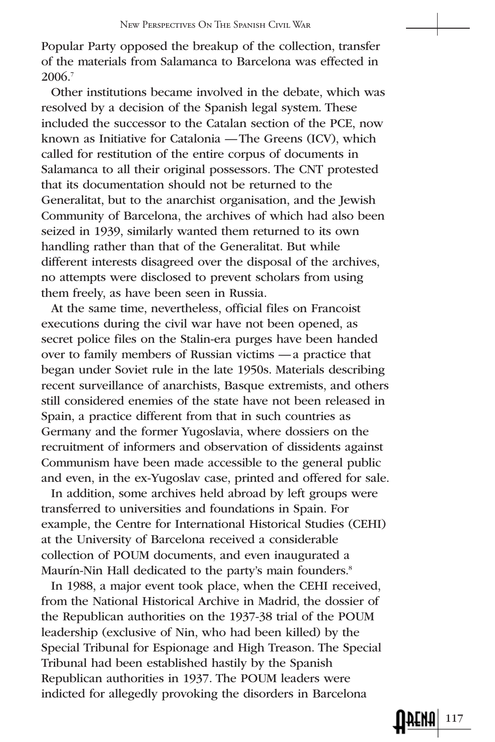Popular Party opposed the breakup of the collection, transfer of the materials from Salamanca to Barcelona was effected in 2006.7

Other institutions became involved in the debate, which was resolved by a decision of the Spanish legal system. These included the successor to the Catalan section of the PCE, now known as Initiative for Catalonia —The Greens (ICV), which called for restitution of the entire corpus of documents in Salamanca to all their original possessors. The CNT protested that its documentation should not be returned to the Generalitat, but to the anarchist organisation, and the Jewish Community of Barcelona, the archives of which had also been seized in 1939, similarly wanted them returned to its own handling rather than that of the Generalitat. But while different interests disagreed over the disposal of the archives, no attempts were disclosed to prevent scholars from using them freely, as have been seen in Russia.

At the same time, nevertheless, official files on Francoist executions during the civil war have not been opened, as secret police files on the Stalin-era purges have been handed over to family members of Russian victims — a practice that began under Soviet rule in the late 1950s. Materials describing recent surveillance of anarchists, Basque extremists, and others still considered enemies of the state have not been released in Spain, a practice different from that in such countries as Germany and the former Yugoslavia, where dossiers on the recruitment of informers and observation of dissidents against Communism have been made accessible to the general public and even, in the ex-Yugoslav case, printed and offered for sale.

In addition, some archives held abroad by left groups were transferred to universities and foundations in Spain. For example, the Centre for International Historical Studies (CEHI) at the University of Barcelona received a considerable collection of POUM documents, and even inaugurated a Maurín-Nin Hall dedicated to the party's main founders.<sup>8</sup>

In 1988, a major event took place, when the CEHI received, from the National Historical Archive in Madrid, the dossier of the Republican authorities on the 1937-38 trial of the POUM leadership (exclusive of Nin, who had been killed) by the Special Tribunal for Espionage and High Treason. The Special Tribunal had been established hastily by the Spanish Republican authorities in 1937. The POUM leaders were indicted for allegedly provoking the disorders in Barcelona

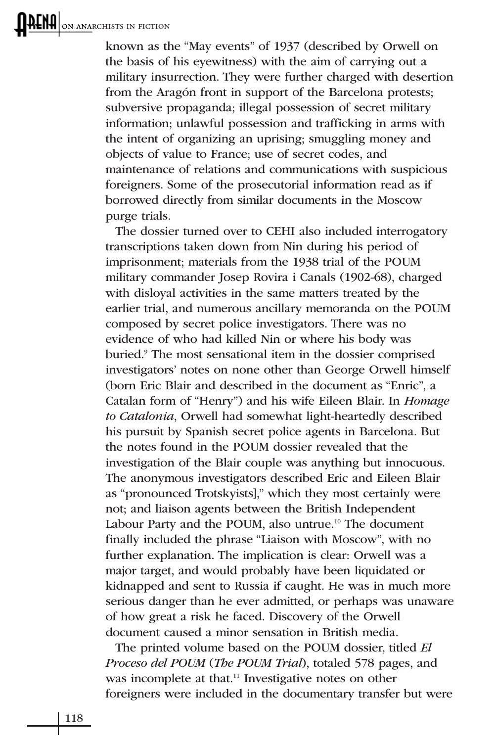known as the "May events" of 1937 (described by Orwell on the basis of his eyewitness) with the aim of carrying out a military insurrection. They were further charged with desertion from the Aragón front in support of the Barcelona protests; subversive propaganda; illegal possession of secret military information; unlawful possession and trafficking in arms with the intent of organizing an uprising; smuggling money and objects of value to France; use of secret codes, and maintenance of relations and communications with suspicious foreigners. Some of the prosecutorial information read as if borrowed directly from similar documents in the Moscow purge trials.

The dossier turned over to CEHI also included interrogatory transcriptions taken down from Nin during his period of imprisonment; materials from the 1938 trial of the POUM military commander Josep Rovira i Canals (1902-68), charged with disloyal activities in the same matters treated by the earlier trial, and numerous ancillary memoranda on the POUM composed by secret police investigators. There was no evidence of who had killed Nin or where his body was buried.9 The most sensational item in the dossier comprised investigators' notes on none other than George Orwell himself (born Eric Blair and described in the document as "Enric", a Catalan form of "Henry") and his wife Eileen Blair. In Homage to Catalonia, Orwell had somewhat light-heartedly described his pursuit by Spanish secret police agents in Barcelona. But the notes found in the POUM dossier revealed that the investigation of the Blair couple was anything but innocuous. The anonymous investigators described Eric and Eileen Blair as "pronounced Trotskyists]," which they most certainly were not; and liaison agents between the British Independent Labour Party and the POUM, also untrue.<sup>10</sup> The document finally included the phrase "Liaison with Moscow", with no further explanation. The implication is clear: Orwell was a major target, and would probably have been liquidated or kidnapped and sent to Russia if caught. He was in much more serious danger than he ever admitted, or perhaps was unaware of how great a risk he faced. Discovery of the Orwell document caused a minor sensation in British media.

The printed volume based on the POUM dossier, titled El Proceso del POUM (The POUM Trial), totaled 578 pages, and was incomplete at that.<sup>11</sup> Investigative notes on other foreigners were included in the documentary transfer but were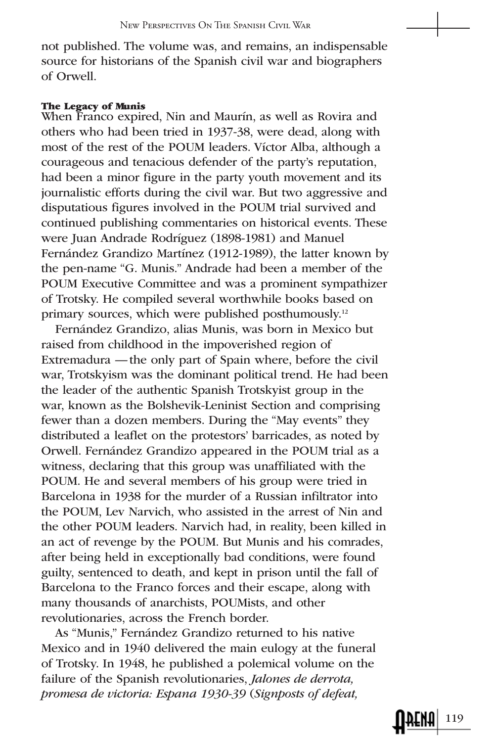not published. The volume was, and remains, an indispensable source for historians of the Spanish civil war and biographers of Orwell.

## **The Legacy of Munis**

When Franco expired, Nin and Maurín, as well as Rovira and others who had been tried in 1937-38, were dead, along with most of the rest of the POUM leaders. Víctor Alba, although a courageous and tenacious defender of the party's reputation, had been a minor figure in the party youth movement and its journalistic efforts during the civil war. But two aggressive and disputatious figures involved in the POUM trial survived and continued publishing commentaries on historical events. These were Juan Andrade Rodríguez (1898-1981) and Manuel Fernández Grandizo Martínez (1912-1989), the latter known by the pen-name "G. Munis." Andrade had been a member of the POUM Executive Committee and was a prominent sympathizer of Trotsky. He compiled several worthwhile books based on primary sources, which were published posthumously.<sup>12</sup>

Fernández Grandizo, alias Munis, was born in Mexico but raised from childhood in the impoverished region of Extremadura — the only part of Spain where, before the civil war, Trotskyism was the dominant political trend. He had been the leader of the authentic Spanish Trotskyist group in the war, known as the Bolshevik-Leninist Section and comprising fewer than a dozen members. During the "May events" they distributed a leaflet on the protestors' barricades, as noted by Orwell. Fernández Grandizo appeared in the POUM trial as a witness, declaring that this group was unaffiliated with the POUM. He and several members of his group were tried in Barcelona in 1938 for the murder of a Russian infiltrator into the POUM, Lev Narvich, who assisted in the arrest of Nin and the other POUM leaders. Narvich had, in reality, been killed in an act of revenge by the POUM. But Munis and his comrades, after being held in exceptionally bad conditions, were found guilty, sentenced to death, and kept in prison until the fall of Barcelona to the Franco forces and their escape, along with many thousands of anarchists, POUMists, and other revolutionaries, across the French border.

As "Munis," Fernández Grandizo returned to his native Mexico and in 1940 delivered the main eulogy at the funeral of Trotsky. In 1948, he published a polemical volume on the failure of the Spanish revolutionaries, Jalones de derrota, promesa de victoria: Espana 1930-39 (Signposts of defeat,

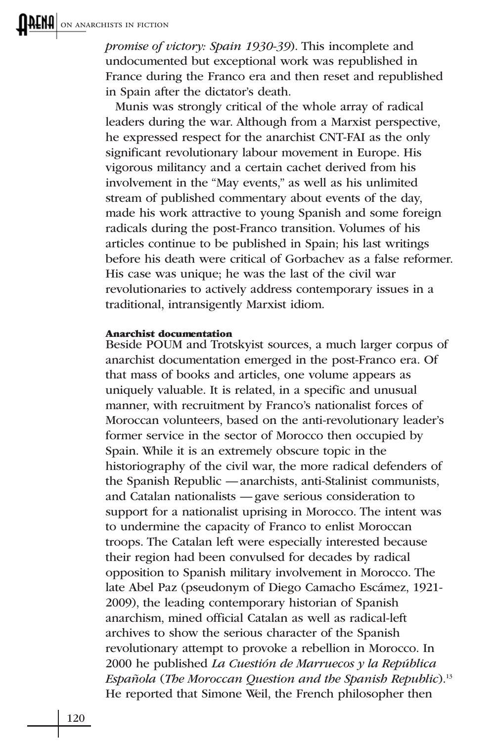promise of victory: Spain 1930-39). This incomplete and undocumented but exceptional work was republished in France during the Franco era and then reset and republished in Spain after the dictator's death.

Munis was strongly critical of the whole array of radical leaders during the war. Although from a Marxist perspective, he expressed respect for the anarchist CNT-FAI as the only significant revolutionary labour movement in Europe. His vigorous militancy and a certain cachet derived from his involvement in the "May events," as well as his unlimited stream of published commentary about events of the day, made his work attractive to young Spanish and some foreign radicals during the post-Franco transition. Volumes of his articles continue to be published in Spain; his last writings before his death were critical of Gorbachev as a false reformer. His case was unique; he was the last of the civil war revolutionaries to actively address contemporary issues in a traditional, intransigently Marxist idiom.

### **Anarchist documentation**

Beside POUM and Trotskyist sources, a much larger corpus of anarchist documentation emerged in the post-Franco era. Of that mass of books and articles, one volume appears as uniquely valuable. It is related, in a specific and unusual manner, with recruitment by Franco's nationalist forces of Moroccan volunteers, based on the anti-revolutionary leader's former service in the sector of Morocco then occupied by Spain. While it is an extremely obscure topic in the historiography of the civil war, the more radical defenders of the Spanish Republic — anarchists, anti-Stalinist communists, and Catalan nationalists — gave serious consideration to support for a nationalist uprising in Morocco. The intent was to undermine the capacity of Franco to enlist Moroccan troops. The Catalan left were especially interested because their region had been convulsed for decades by radical opposition to Spanish military involvement in Morocco. The late Abel Paz (pseudonym of Diego Camacho Escámez, 1921- 2009), the leading contemporary historian of Spanish anarchism, mined official Catalan as well as radical-left archives to show the serious character of the Spanish revolutionary attempt to provoke a rebellion in Morocco. In 2000 he published La Cuestión de Marruecos y la República Española (The Moroccan Question and the Spanish Republic).<sup>13</sup> He reported that Simone Weil, the French philosopher then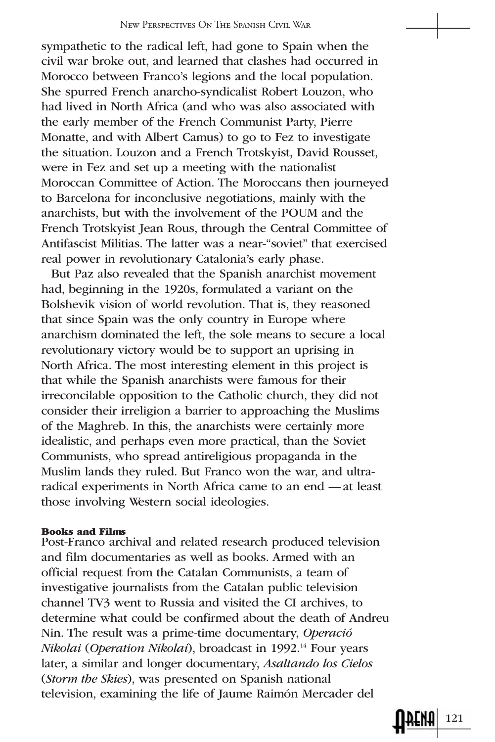sympathetic to the radical left, had gone to Spain when the civil war broke out, and learned that clashes had occurred in Morocco between Franco's legions and the local population. She spurred French anarcho-syndicalist Robert Louzon, who had lived in North Africa (and who was also associated with the early member of the French Communist Party, Pierre Monatte, and with Albert Camus) to go to Fez to investigate the situation. Louzon and a French Trotskyist, David Rousset, were in Fez and set up a meeting with the nationalist Moroccan Committee of Action. The Moroccans then journeyed to Barcelona for inconclusive negotiations, mainly with the anarchists, but with the involvement of the POUM and the French Trotskyist Jean Rous, through the Central Committee of Antifascist Militias. The latter was a near-"soviet" that exercised real power in revolutionary Catalonia's early phase.

But Paz also revealed that the Spanish anarchist movement had, beginning in the 1920s, formulated a variant on the Bolshevik vision of world revolution. That is, they reasoned that since Spain was the only country in Europe where anarchism dominated the left, the sole means to secure a local revolutionary victory would be to support an uprising in North Africa. The most interesting element in this project is that while the Spanish anarchists were famous for their irreconcilable opposition to the Catholic church, they did not consider their irreligion a barrier to approaching the Muslims of the Maghreb. In this, the anarchists were certainly more idealistic, and perhaps even more practical, than the Soviet Communists, who spread antireligious propaganda in the Muslim lands they ruled. But Franco won the war, and ultraradical experiments in North Africa came to an end — at least those involving Western social ideologies.

#### **Books and Films**

Post-Franco archival and related research produced television and film documentaries as well as books. Armed with an official request from the Catalan Communists, a team of investigative journalists from the Catalan public television channel TV3 went to Russia and visited the CI archives, to determine what could be confirmed about the death of Andreu Nin. The result was a prime-time documentary, Operació Nikolai (Operation Nikolai), broadcast in 1992.<sup>14</sup> Four years later, a similar and longer documentary, Asaltando los Cielos (Storm the Skies), was presented on Spanish national television, examining the life of Jaume Raimón Mercader del

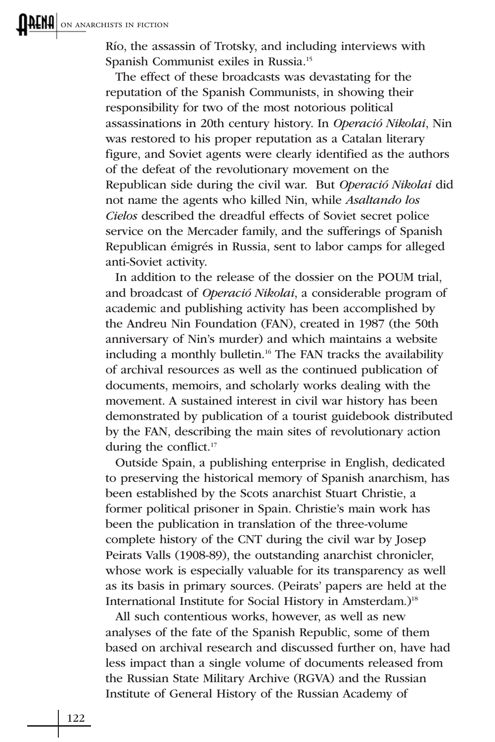Río, the assassin of Trotsky, and including interviews with Spanish Communist exiles in Russia.15

The effect of these broadcasts was devastating for the reputation of the Spanish Communists, in showing their responsibility for two of the most notorious political assassinations in 20th century history. In Operació Nikolai, Nin was restored to his proper reputation as a Catalan literary figure, and Soviet agents were clearly identified as the authors of the defeat of the revolutionary movement on the Republican side during the civil war. But Operació Nikolai did not name the agents who killed Nin, while Asaltando los Cielos described the dreadful effects of Soviet secret police service on the Mercader family, and the sufferings of Spanish Republican émigrés in Russia, sent to labor camps for alleged anti-Soviet activity.

In addition to the release of the dossier on the POUM trial, and broadcast of Operació Nikolai, a considerable program of academic and publishing activity has been accomplished by the Andreu Nin Foundation (FAN), created in 1987 (the 50th anniversary of Nin's murder) and which maintains a website including a monthly bulletin.16 The FAN tracks the availability of archival resources as well as the continued publication of documents, memoirs, and scholarly works dealing with the movement. A sustained interest in civil war history has been demonstrated by publication of a tourist guidebook distributed by the FAN, describing the main sites of revolutionary action during the conflict.<sup>17</sup>

Outside Spain, a publishing enterprise in English, dedicated to preserving the historical memory of Spanish anarchism, has been established by the Scots anarchist Stuart Christie, a former political prisoner in Spain. Christie's main work has been the publication in translation of the three-volume complete history of the CNT during the civil war by Josep Peirats Valls (1908-89), the outstanding anarchist chronicler, whose work is especially valuable for its transparency as well as its basis in primary sources. (Peirats' papers are held at the International Institute for Social History in Amsterdam.)<sup>18</sup>

All such contentious works, however, as well as new analyses of the fate of the Spanish Republic, some of them based on archival research and discussed further on, have had less impact than a single volume of documents released from the Russian State Military Archive (RGVA) and the Russian Institute of General History of the Russian Academy of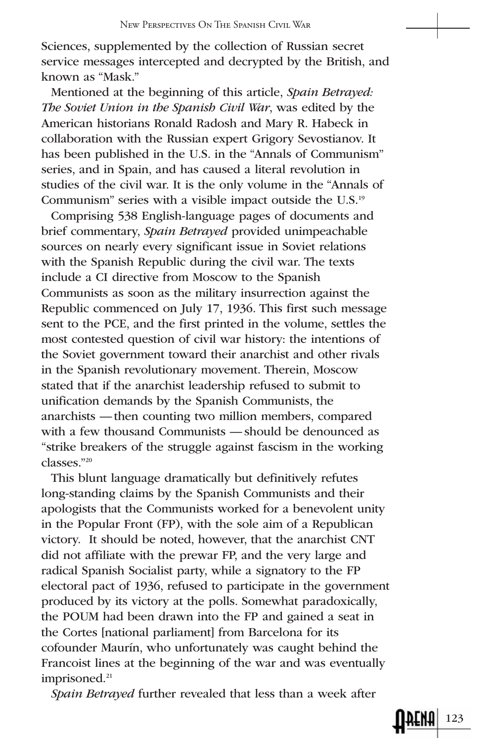Sciences, supplemented by the collection of Russian secret service messages intercepted and decrypted by the British, and known as "Mask."

Mentioned at the beginning of this article, Spain Betrayed: The Soviet Union in the Spanish Civil War, was edited by the American historians Ronald Radosh and Mary R. Habeck in collaboration with the Russian expert Grigory Sevostianov. It has been published in the U.S. in the "Annals of Communism" series, and in Spain, and has caused a literal revolution in studies of the civil war. It is the only volume in the "Annals of Communism" series with a visible impact outside the U.S.19

Comprising 538 English-language pages of documents and brief commentary, Spain Betrayed provided unimpeachable sources on nearly every significant issue in Soviet relations with the Spanish Republic during the civil war. The texts include a CI directive from Moscow to the Spanish Communists as soon as the military insurrection against the Republic commenced on July 17, 1936. This first such message sent to the PCE, and the first printed in the volume, settles the most contested question of civil war history: the intentions of the Soviet government toward their anarchist and other rivals in the Spanish revolutionary movement. Therein, Moscow stated that if the anarchist leadership refused to submit to unification demands by the Spanish Communists, the anarchists — then counting two million members, compared with a few thousand Communists — should be denounced as "strike breakers of the struggle against fascism in the working classes<sup>"20</sup>

This blunt language dramatically but definitively refutes long-standing claims by the Spanish Communists and their apologists that the Communists worked for a benevolent unity in the Popular Front (FP), with the sole aim of a Republican victory. It should be noted, however, that the anarchist CNT did not affiliate with the prewar FP, and the very large and radical Spanish Socialist party, while a signatory to the FP electoral pact of 1936, refused to participate in the government produced by its victory at the polls. Somewhat paradoxically, the POUM had been drawn into the FP and gained a seat in the Cortes [national parliament] from Barcelona for its cofounder Maurín, who unfortunately was caught behind the Francoist lines at the beginning of the war and was eventually imprisoned.<sup>21</sup>

Spain Betrayed further revealed that less than a week after

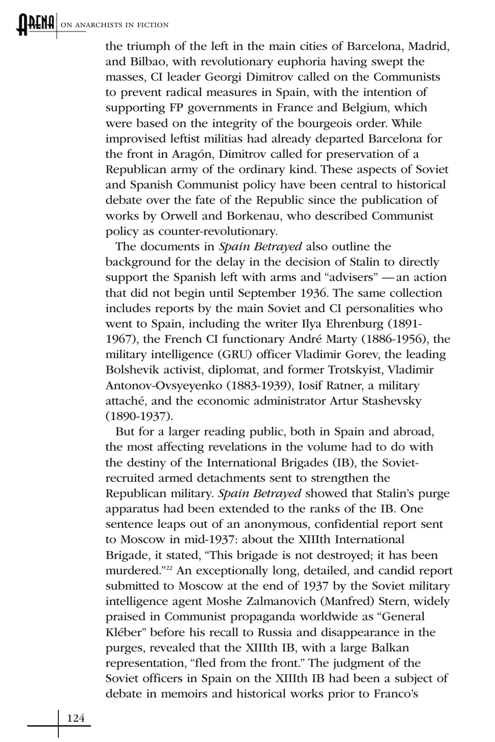the triumph of the left in the main cities of Barcelona, Madrid, and Bilbao, with revolutionary euphoria having swept the masses, CI leader Georgi Dimitrov called on the Communists to prevent radical measures in Spain, with the intention of supporting FP governments in France and Belgium, which were based on the integrity of the bourgeois order. While improvised leftist militias had already departed Barcelona for the front in Aragón, Dimitrov called for preservation of a Republican army of the ordinary kind. These aspects of Soviet and Spanish Communist policy have been central to historical debate over the fate of the Republic since the publication of works by Orwell and Borkenau, who described Communist policy as counter-revolutionary.

The documents in Spain Betrayed also outline the background for the delay in the decision of Stalin to directly support the Spanish left with arms and "advisers" — an action that did not begin until September 1936. The same collection includes reports by the main Soviet and CI personalities who went to Spain, including the writer Ilya Ehrenburg (1891- 1967), the French CI functionary André Marty (1886-1956), the military intelligence (GRU) officer Vladimir Gorev, the leading Bolshevik activist, diplomat, and former Trotskyist, Vladimir Antonov-Ovsyeyenko (1883-1939), Iosif Ratner, a military attaché, and the economic administrator Artur Stashevsky (1890-1937).

But for a larger reading public, both in Spain and abroad, the most affecting revelations in the volume had to do with the destiny of the International Brigades (IB), the Sovietrecruited armed detachments sent to strengthen the Republican military. Spain Betrayed showed that Stalin's purge apparatus had been extended to the ranks of the IB. One sentence leaps out of an anonymous, confidential report sent to Moscow in mid-1937: about the XIIIth International Brigade, it stated, "This brigade is not destroyed; it has been murdered."22 An exceptionally long, detailed, and candid report submitted to Moscow at the end of 1937 by the Soviet military intelligence agent Moshe Zalmanovich (Manfred) Stern, widely praised in Communist propaganda worldwide as "General Kléber" before his recall to Russia and disappearance in the purges, revealed that the XIIIth IB, with a large Balkan representation, "fled from the front." The judgment of the Soviet officers in Spain on the XIIIth IB had been a subject of debate in memoirs and historical works prior to Franco's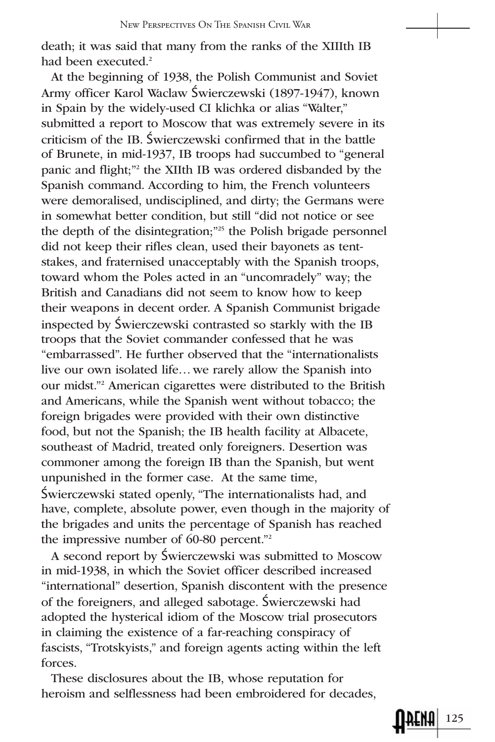death; it was said that many from the ranks of the XIIIth IB had been executed<sup>2</sup>

At the beginning of 1938, the Polish Communist and Soviet Army officer Karol Waclaw Świerczewski (1897-1947), known in Spain by the widely-used CI klichka or alias "Walter," submitted a report to Moscow that was extremely severe in its criticism of the IB. Świerczewski confirmed that in the battle of Brunete, in mid-1937, IB troops had succumbed to "general panic and flight;"2 the XIIth IB was ordered disbanded by the Spanish command. According to him, the French volunteers were demoralised, undisciplined, and dirty; the Germans were in somewhat better condition, but still "did not notice or see the depth of the disintegration;"25 the Polish brigade personnel did not keep their rifles clean, used their bayonets as tentstakes, and fraternised unacceptably with the Spanish troops, toward whom the Poles acted in an "uncomradely" way; the British and Canadians did not seem to know how to keep their weapons in decent order. A Spanish Communist brigade inspected by Świerczewski contrasted so starkly with the IB troops that the Soviet commander confessed that he was "embarrassed". He further observed that the "internationalists live our own isolated life… we rarely allow the Spanish into our midst."2 American cigarettes were distributed to the British and Americans, while the Spanish went without tobacco; the foreign brigades were provided with their own distinctive food, but not the Spanish; the IB health facility at Albacete, southeast of Madrid, treated only foreigners. Desertion was commoner among the foreign IB than the Spanish, but went unpunished in the former case. At the same time, Świerczewski stated openly, "The internationalists had, and have, complete, absolute power, even though in the majority of the brigades and units the percentage of Spanish has reached the impressive number of 60-80 percent."2

A second report by Świerczewski was submitted to Moscow in mid-1938, in which the Soviet officer described increased "international" desertion, Spanish discontent with the presence of the foreigners, and alleged sabotage. Świerczewski had adopted the hysterical idiom of the Moscow trial prosecutors in claiming the existence of a far-reaching conspiracy of fascists, "Trotskyists," and foreign agents acting within the left forces.

These disclosures about the IB, whose reputation for heroism and selflessness had been embroidered for decades,

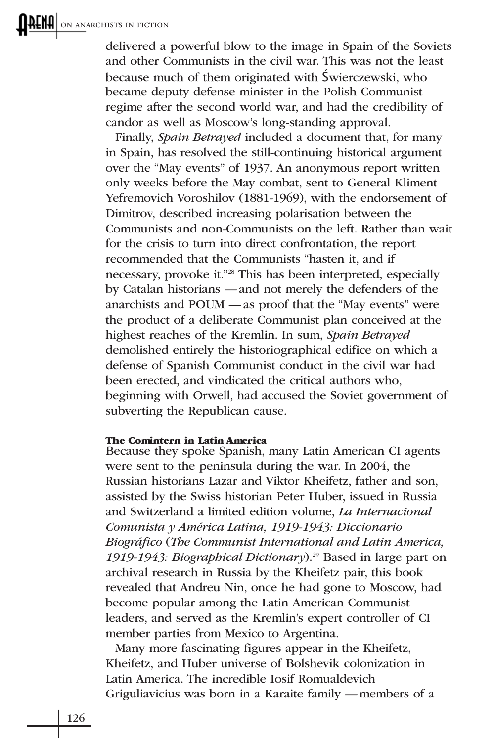delivered a powerful blow to the image in Spain of the Soviets and other Communists in the civil war. This was not the least because much of them originated with Świerczewski, who became deputy defense minister in the Polish Communist regime after the second world war, and had the credibility of candor as well as Moscow's long-standing approval.

Finally, Spain Betrayed included a document that, for many in Spain, has resolved the still-continuing historical argument over the "May events" of 1937. An anonymous report written only weeks before the May combat, sent to General Kliment Yefremovich Voroshilov (1881-1969), with the endorsement of Dimitrov, described increasing polarisation between the Communists and non-Communists on the left. Rather than wait for the crisis to turn into direct confrontation, the report recommended that the Communists "hasten it, and if necessary, provoke it."28 This has been interpreted, especially by Catalan historians — and not merely the defenders of the anarchists and POUM — as proof that the "May events" were the product of a deliberate Communist plan conceived at the highest reaches of the Kremlin. In sum, Spain Betrayed demolished entirely the historiographical edifice on which a defense of Spanish Communist conduct in the civil war had been erected, and vindicated the critical authors who, beginning with Orwell, had accused the Soviet government of subverting the Republican cause.

## **The Comintern in Latin America**

Because they spoke Spanish, many Latin American CI agents were sent to the peninsula during the war. In 2004, the Russian historians Lazar and Viktor Kheifetz, father and son, assisted by the Swiss historian Peter Huber, issued in Russia and Switzerland a limited edition volume, La Internacional Comunista y América Latina, 1919-1943: Diccionario Biográfico (The Communist International and Latin America, 1919-1943: Biographical Dictionary).<sup>29</sup> Based in large part on archival research in Russia by the Kheifetz pair, this book revealed that Andreu Nin, once he had gone to Moscow, had become popular among the Latin American Communist leaders, and served as the Kremlin's expert controller of CI member parties from Mexico to Argentina.

Many more fascinating figures appear in the Kheifetz, Kheifetz, and Huber universe of Bolshevik colonization in Latin America. The incredible Iosif Romualdevich Griguliavicius was born in a Karaite family — members of a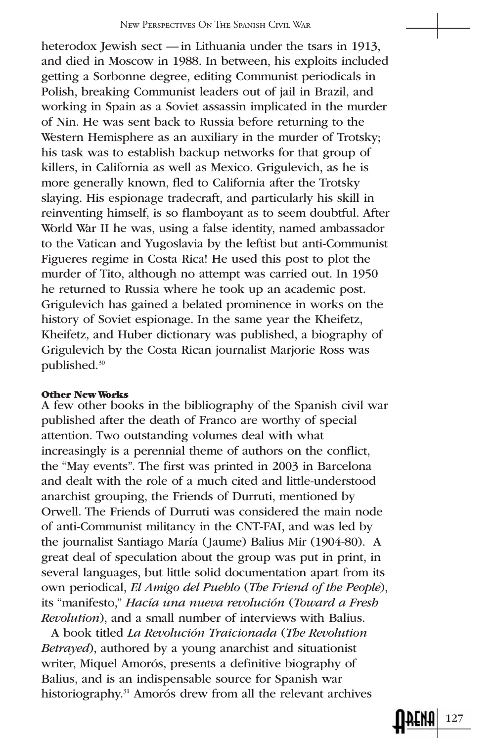heterodox Jewish sect — in Lithuania under the tsars in 1913, and died in Moscow in 1988. In between, his exploits included getting a Sorbonne degree, editing Communist periodicals in Polish, breaking Communist leaders out of jail in Brazil, and working in Spain as a Soviet assassin implicated in the murder of Nin. He was sent back to Russia before returning to the Western Hemisphere as an auxiliary in the murder of Trotsky; his task was to establish backup networks for that group of killers, in California as well as Mexico. Grigulevich, as he is more generally known, fled to California after the Trotsky slaying. His espionage tradecraft, and particularly his skill in reinventing himself, is so flamboyant as to seem doubtful. After World War II he was, using a false identity, named ambassador to the Vatican and Yugoslavia by the leftist but anti-Communist Figueres regime in Costa Rica! He used this post to plot the murder of Tito, although no attempt was carried out. In 1950 he returned to Russia where he took up an academic post. Grigulevich has gained a belated prominence in works on the history of Soviet espionage. In the same year the Kheifetz, Kheifetz, and Huber dictionary was published, a biography of Grigulevich by the Costa Rican journalist Marjorie Ross was published.<sup>30</sup>

#### **Other New Works**

A few other books in the bibliography of the Spanish civil war published after the death of Franco are worthy of special attention. Two outstanding volumes deal with what increasingly is a perennial theme of authors on the conflict, the "May events". The first was printed in 2003 in Barcelona and dealt with the role of a much cited and little-understood anarchist grouping, the Friends of Durruti, mentioned by Orwell. The Friends of Durruti was considered the main node of anti-Communist militancy in the CNT-FAI, and was led by the journalist Santiago María ( Jaume) Balius Mir (1904-80). A great deal of speculation about the group was put in print, in several languages, but little solid documentation apart from its own periodical, El Amigo del Pueblo (The Friend of the People), its "manifesto," Hacía una nueva revolución (Toward a Fresh Revolution), and a small number of interviews with Balius.

A book titled La Revolución Traicionada (The Revolution Betrayed), authored by a young anarchist and situationist writer, Miquel Amorós, presents a definitive biography of Balius, and is an indispensable source for Spanish war historiography.31 Amorós drew from all the relevant archives

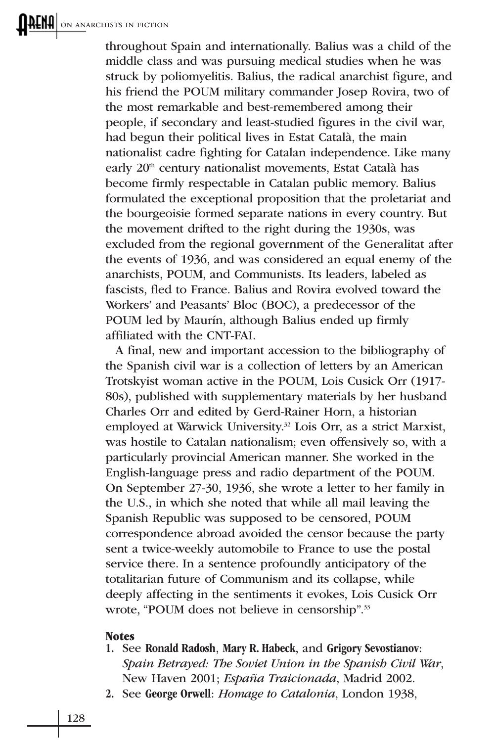#### **RLNH** ON ANARCHISTS IN FICTION

throughout Spain and internationally. Balius was a child of the middle class and was pursuing medical studies when he was struck by poliomyelitis. Balius, the radical anarchist figure, and his friend the POUM military commander Josep Rovira, two of the most remarkable and best-remembered among their people, if secondary and least-studied figures in the civil war, had begun their political lives in Estat Català, the main nationalist cadre fighting for Catalan independence. Like many early 20<sup>th</sup> century nationalist movements, Estat Català has become firmly respectable in Catalan public memory. Balius formulated the exceptional proposition that the proletariat and the bourgeoisie formed separate nations in every country. But the movement drifted to the right during the 1930s, was excluded from the regional government of the Generalitat after the events of 1936, and was considered an equal enemy of the anarchists, POUM, and Communists. Its leaders, labeled as fascists, fled to France. Balius and Rovira evolved toward the Workers' and Peasants' Bloc (BOC), a predecessor of the POUM led by Maurín, although Balius ended up firmly affiliated with the CNT-FAI.

A final, new and important accession to the bibliography of the Spanish civil war is a collection of letters by an American Trotskyist woman active in the POUM, Lois Cusick Orr (1917- 80s), published with supplementary materials by her husband Charles Orr and edited by Gerd-Rainer Horn, a historian employed at Warwick University.<sup>32</sup> Lois Orr, as a strict Marxist, was hostile to Catalan nationalism; even offensively so, with a particularly provincial American manner. She worked in the English-language press and radio department of the POUM. On September 27-30, 1936, she wrote a letter to her family in the U.S., in which she noted that while all mail leaving the Spanish Republic was supposed to be censored, POUM correspondence abroad avoided the censor because the party sent a twice-weekly automobile to France to use the postal service there. In a sentence profoundly anticipatory of the totalitarian future of Communism and its collapse, while deeply affecting in the sentiments it evokes, Lois Cusick Orr wrote, "POUM does not believe in censorship".<sup>33</sup>

### **Notes**

- 1. See Ronald Radosh, Mary R. Habeck, and Grigory Sevostianov: Spain Betrayed: The Soviet Union in the Spanish Civil War, New Haven 2001; España Traicionada, Madrid 2002.
- 2. See George Orwell: *Homage to Catalonia*, London 1938,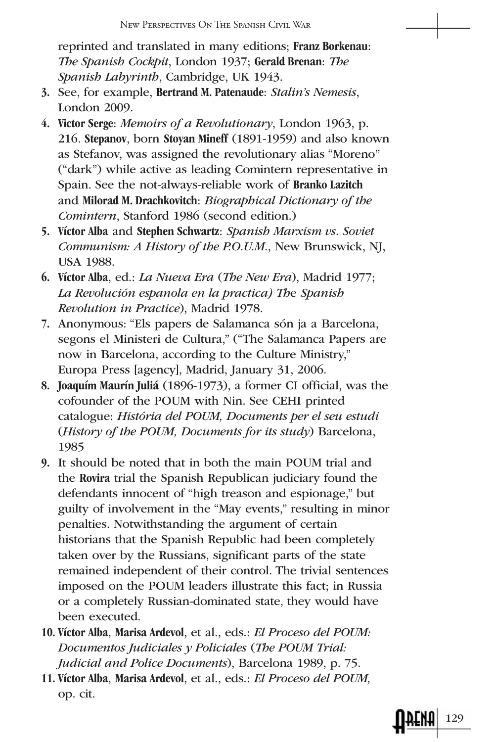reprinted and translated in many editions; Franz Borkenau: The Spanish Cockpit, London 1937; Gerald Brenan: The Spanish Labyrinth, Cambridge, UK 1943.

- 3. See, for example, Bertrand M. Patenaude: Stalin's Nemesis, London 2009.
- 4. Victor Serge: *Memoirs of a Revolutionary*, London 1963, p. 216. Stepanov, born Stoyan Mineff (1891-1959) and also known as Stefanov, was assigned the revolutionary alias "Moreno" ("dark") while active as leading Comintern representative in Spain. See the not-always-reliable work of Branko Lazitch and Milorad M. Drachkovitch: Biographical Dictionary of the Comintern, Stanford 1986 (second edition.)
- 5. Víctor Alba and Stephen Schwartz: Spanish Marxism vs. Soviet Communism: A History of the P.O.U.M., New Brunswick, NJ, USA 1988.
- 6. Víctor Alba, ed.: La Nueva Era (The New Era), Madrid 1977; La Revolución espanola en la practica) The Spanish Revolution in Practice), Madrid 1978.
- 7. Anonymous: "Els papers de Salamanca són ja a Barcelona, segons el Ministeri de Cultura," ("The Salamanca Papers are now in Barcelona, according to the Culture Ministry," Europa Press [agency], Madrid, January 31, 2006.
- 8. Joaquím Maurín Juliá (1896-1973), a former CI official, was the cofounder of the POUM with Nin. See CEHI printed catalogue: História del POUM, Documents per el seu estudi (History of the POUM, Documents for its study) Barcelona, 1985
- 9. It should be noted that in both the main POUM trial and the Rovira trial the Spanish Republican judiciary found the defendants innocent of "high treason and espionage," but guilty of involvement in the "May events," resulting in minor penalties. Notwithstanding the argument of certain historians that the Spanish Republic had been completely taken over by the Russians, significant parts of the state remained independent of their control. The trivial sentences imposed on the POUM leaders illustrate this fact; in Russia or a completely Russian-dominated state, they would have been executed.
- 10. Víctor Alba, Marisa Ardevol, et al., eds.: El Proceso del POUM: Documentos Judiciales y Policiales (The POUM Trial: Judicial and Police Documents), Barcelona 1989, p. 75.
- 11. Víctor Alba, Marisa Ardevol, et al., eds.: El Proceso del POUM, op. cit.

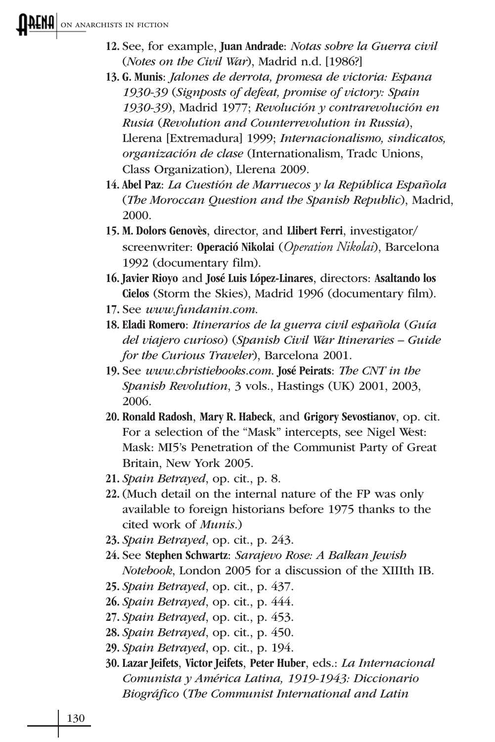- 12. See, for example, Juan Andrade: Notas sobre la Guerra civil (Notes on the Civil War), Madrid n.d. [1986?]
- 13. G. Munis: Jalones de derrota, promesa de victoria: Espana 1930-39 (Signposts of defeat, promise of victory: Spain 1930-39), Madrid 1977; Revolución y contrarevolución en Rusia (Revolution and Counterrevolution in Russia), Llerena [Extremadura] 1999; Internacionalismo, sindicatos, organización de clase (Internationalism, Tradc Unions, Class Organization), Llerena 2009.
- 14. Abel Paz: La Cuestión de Marruecos y la República Española (The Moroccan Question and the Spanish Republic), Madrid, 2000.
- 15. M. Dolors Genovès, director, and Llibert Ferri, investigator/ screenwriter: Operació Nikolai (*Operation Nikolai*), Barcelona 1992 (documentary film).
- 16. Javier Rioyo and José Luis López-Linares, directors: Asaltando los Cielos (Storm the Skies), Madrid 1996 (documentary film).
- 17. See www.fundanin.com.
- 18. Eladi Romero: Itinerarios de la guerra civil española (Guía del viajero curioso) (Spanish Civil War Itineraries – Guide for the Curious Traveler), Barcelona 2001.
- 19. See www.christiebooks.com. José Peirats: The CNT in the Spanish Revolution, 3 vols., Hastings (UK) 2001, 2003, 2006.
- 20. Ronald Radosh, Mary R. Habeck, and Grigory Sevostianov, op. cit. For a selection of the "Mask" intercepts, see Nigel West: Mask: MI5's Penetration of the Communist Party of Great Britain, New York 2005.
- 21. Spain Betrayed, op. cit., p. 8.
- 22. (Much detail on the internal nature of the FP was only available to foreign historians before 1975 thanks to the cited work of Munis.)
- 23. Spain Betrayed, op. cit., p. 243.
- 24. See Stephen Schwartz: Sarajevo Rose: A Balkan Jewish Notebook, London 2005 for a discussion of the XIIIth IB.
- 25. Spain Betrayed, op. cit., p. 437.
- 26. Spain Betrayed, op. cit., p. 444.
- 27. Spain Betrayed, op. cit., p. 453.
- 28. Spain Betrayed, op. cit., p. 450.
- 29. Spain Betrayed, op. cit., p. 194.
- 30. Lazar Jeifets, Victor Jeifets, Peter Huber, eds.: La Internacional Comunista y América Latina, 1919-1943: Diccionario Biográfico (The Communist International and Latin